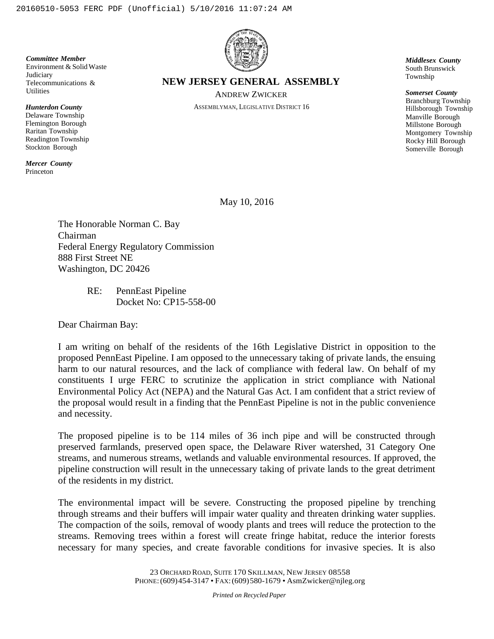*Committee Member* Environment & Solid Waste **Judiciary** Telecommunications & Utilities

*Hunterdon County* Delaware Township Flemington Borough Raritan Township Readington Township Stockton Borough

*Mercer County* Princeton



**NEW JERSEY GENERAL ASSEMBLY**

ANDREW ZWICKER ASSEMBLYMAN, LEGISLATIVE DISTRICT 16 *Middlesex County* South Brunswick Township

*Somerset County* Branchburg Township Hillsborough Township Manville Borough Millstone Borough Montgomery Township Rocky Hill Borough Somerville Borough

May 10, 2016

The Honorable Norman C. Bay Chairman Federal Energy Regulatory Commission 888 First Street NE Washington, DC 20426

> RE: PennEast Pipeline Docket No: CP15-558-00

Dear Chairman Bay:

I am writing on behalf of the residents of the 16th Legislative District in opposition to the proposed PennEast Pipeline. I am opposed to the unnecessary taking of private lands, the ensuing harm to our natural resources, and the lack of compliance with federal law. On behalf of my constituents I urge FERC to scrutinize the application in strict compliance with National Environmental Policy Act (NEPA) and the Natural Gas Act. I am confident that a strict review of the proposal would result in a finding that the PennEast Pipeline is not in the public convenience and necessity.

The proposed pipeline is to be 114 miles of 36 inch pipe and will be constructed through preserved farmlands, preserved open space, the Delaware River watershed, 31 Category One streams, and numerous streams, wetlands and valuable environmental resources. If approved, the pipeline construction will result in the unnecessary taking of private lands to the great detriment of the residents in my district.

The environmental impact will be severe. Constructing the proposed pipeline by trenching through streams and their buffers will impair water quality and threaten drinking water supplies. The compaction of the soils, removal of woody plants and trees will reduce the protection to the streams. Removing trees within a forest will create fringe habitat, reduce the interior forests necessary for many species, and create favorable conditions for invasive species. It is also

*Printed on Recycled Paper*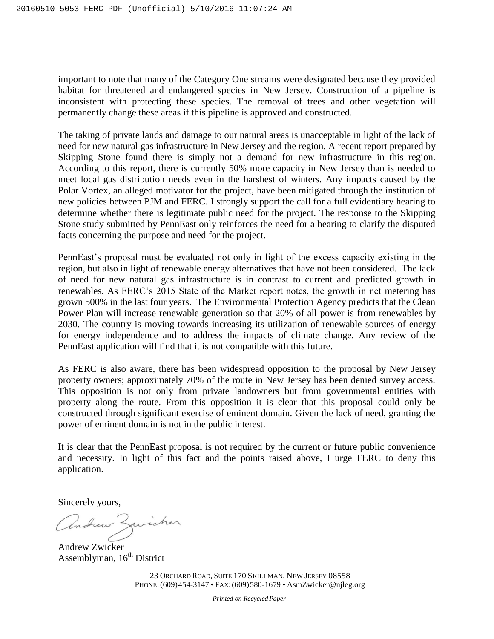important to note that many of the Category One streams were designated because they provided habitat for threatened and endangered species in New Jersey. Construction of a pipeline is inconsistent with protecting these species. The removal of trees and other vegetation will permanently change these areas if this pipeline is approved and constructed.

The taking of private lands and damage to our natural areas is unacceptable in light of the lack of need for new natural gas infrastructure in New Jersey and the region. A recent report prepared by Skipping Stone found there is simply not a demand for new infrastructure in this region. According to this report, there is currently 50% more capacity in New Jersey than is needed to meet local gas distribution needs even in the harshest of winters. Any impacts caused by the Polar Vortex, an alleged motivator for the project, have been mitigated through the institution of new policies between PJM and FERC. I strongly support the call for a full evidentiary hearing to determine whether there is legitimate public need for the project. The response to the Skipping Stone study submitted by PennEast only reinforces the need for a hearing to clarify the disputed facts concerning the purpose and need for the project.

PennEast's proposal must be evaluated not only in light of the excess capacity existing in the region, but also in light of renewable energy alternatives that have not been considered. The lack of need for new natural gas infrastructure is in contrast to current and predicted growth in renewables. As FERC's 2015 State of the Market report notes, the growth in net metering has grown 500% in the last four years. The Environmental Protection Agency predicts that the Clean Power Plan will increase renewable generation so that 20% of all power is from renewables by 2030. The country is moving towards increasing its utilization of renewable sources of energy for energy independence and to address the impacts of climate change. Any review of the PennEast application will find that it is not compatible with this future.

As FERC is also aware, there has been widespread opposition to the proposal by New Jersey property owners; approximately 70% of the route in New Jersey has been denied survey access. This opposition is not only from private landowners but from governmental entities with property along the route. From this opposition it is clear that this proposal could only be constructed through significant exercise of eminent domain. Given the lack of need, granting the power of eminent domain is not in the public interest.

It is clear that the PennEast proposal is not required by the current or future public convenience and necessity. In light of this fact and the points raised above, I urge FERC to deny this application.

Sincerely yours,

Andrew Zwicker

Andrew Zwicker Assemblyman,  $16<sup>th</sup>$  District

23 ORCHARD ROAD, SUITE 170 SKILLMAN, NEW JERSEY 08558 PHONE:(609)454-3147 • FAX:(609)580-1679 • [As](mailto:AsmZwicker@nj1eg.org)mZwicker@njleg.org

*Printed on Recycled Paper*